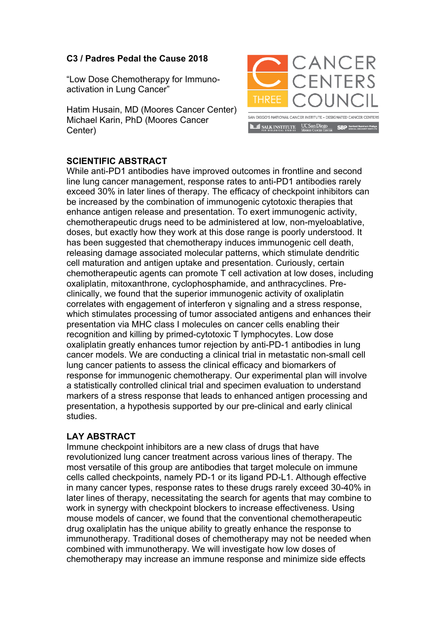## **C3 / Padres Pedal the Cause 2018**

"Low Dose Chemotherapy for Immunoactivation in Lung Cancer"

Hatim Husain, MD (Moores Cancer Center) Michael Karin, PhD (Moores Cancer Center)



## **SCIENTIFIC ABSTRACT**

While anti-PD1 antibodies have improved outcomes in frontline and second line lung cancer management, response rates to anti-PD1 antibodies rarely exceed 30% in later lines of therapy. The efficacy of checkpoint inhibitors can be increased by the combination of immunogenic cytotoxic therapies that enhance antigen release and presentation. To exert immunogenic activity, chemotherapeutic drugs need to be administered at low, non-myeloablative, doses, but exactly how they work at this dose range is poorly understood. It has been suggested that chemotherapy induces immunogenic cell death, releasing damage associated molecular patterns, which stimulate dendritic cell maturation and antigen uptake and presentation. Curiously, certain chemotherapeutic agents can promote T cell activation at low doses, including oxaliplatin, mitoxanthrone, cyclophosphamide, and anthracyclines. Preclinically, we found that the superior immunogenic activity of oxaliplatin correlates with engagement of interferon γ signaling and a stress response, which stimulates processing of tumor associated antigens and enhances their presentation via MHC class I molecules on cancer cells enabling their recognition and killing by primed-cytotoxic T lymphocytes. Low dose oxaliplatin greatly enhances tumor rejection by anti-PD-1 antibodies in lung cancer models. We are conducting a clinical trial in metastatic non-small cell lung cancer patients to assess the clinical efficacy and biomarkers of response for immunogenic chemotherapy. Our experimental plan will involve a statistically controlled clinical trial and specimen evaluation to understand markers of a stress response that leads to enhanced antigen processing and presentation, a hypothesis supported by our pre-clinical and early clinical studies.

## **LAY ABSTRACT**

Immune checkpoint inhibitors are a new class of drugs that have revolutionized lung cancer treatment across various lines of therapy. The most versatile of this group are antibodies that target molecule on immune cells called checkpoints, namely PD-1 or its ligand PD-L1. Although effective in many cancer types, response rates to these drugs rarely exceed 30-40% in later lines of therapy, necessitating the search for agents that may combine to work in synergy with checkpoint blockers to increase effectiveness. Using mouse models of cancer, we found that the conventional chemotherapeutic drug oxaliplatin has the unique ability to greatly enhance the response to immunotherapy. Traditional doses of chemotherapy may not be needed when combined with immunotherapy. We will investigate how low doses of chemotherapy may increase an immune response and minimize side effects